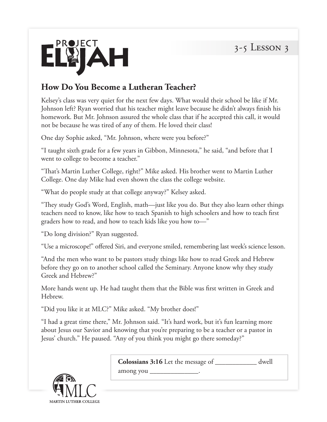

## **How Do You Become a Lutheran Teacher?**

Kelsey's class was very quiet for the next few days. What would their school be like if Mr. Johnson left? Ryan worried that his teacher might leave because he didn't always finish his homework. But Mr. Johnson assured the whole class that if he accepted this call, it would not be because he was tired of any of them. He loved their class!

One day Sophie asked, "Mr. Johnson, where were you before?"

"I taught sixth grade for a few years in Gibbon, Minnesota," he said, "and before that I went to college to become a teacher."

"That's Martin Luther College, right?" Mike asked. His brother went to Martin Luther College. One day Mike had even shown the class the college website.

"What do people study at that college anyway?" Kelsey asked.

"They study God's Word, English, math—just like you do. But they also learn other things teachers need to know, like how to teach Spanish to high schoolers and how to teach first graders how to read, and how to teach kids like you how to—"

"Do long division?" Ryan suggested.

MARTIN LUTHER COLLEGE

"Use a microscope!" offered Siri, and everyone smiled, remembering last week's science lesson.

"And the men who want to be pastors study things like how to read Greek and Hebrew before they go on to another school called the Seminary. Anyone know why they study Greek and Hebrew?"

More hands went up. He had taught them that the Bible was first written in Greek and Hebrew.

"Did you like it at MLC?" Mike asked. "My brother does!"

"I had a great time there," Mr. Johnson said. "It's hard work, but it's fun learning more about Jesus our Savior and knowing that you're preparing to be a teacher or a pastor in Jesus' church." He paused. "Any of you think you might go there someday?"

| K R                          | <b>Colossians 3:16</b> Let the message of<br>among you _ | dwell |
|------------------------------|----------------------------------------------------------|-------|
| $\left( \frac{1}{2} \right)$ |                                                          |       |